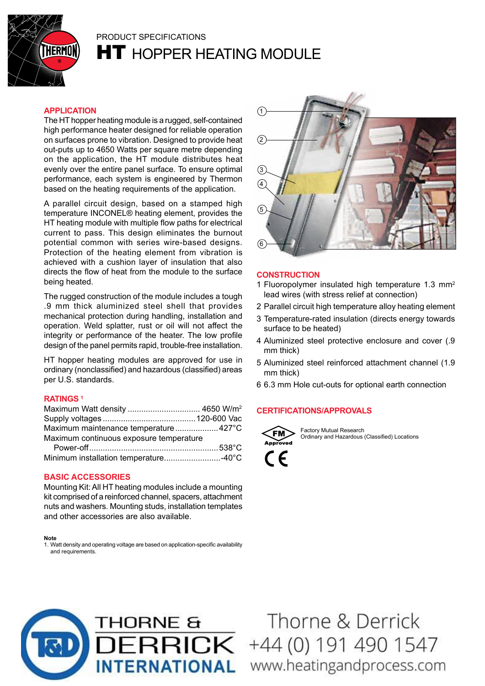

# PrODUCT SPECIfICATIONS

**HT** HOPPER HEATING MODULE

### **ApplicAtion**

The HT hopper heating module is a rugged, self-contained high performance heater designed for reliable operation on surfaces prone to vibration. Designed to provide heat out-puts up to 4650 Watts per square metre depending on the application, the HT module distributes heat evenly over the entire panel surface. To ensure optimal performance, each system is engineered by Thermon based on the heating requirements of the application.

A parallel circuit design, based on a stamped high temperature INCONEL® heating element, provides the HT heating module with multiple flow paths for electrical current to pass. This design eliminates the burnout potential common with series wire-based designs. Protection of the heating element from vibration is achieved with a cushion layer of insulation that also directs the flow of heat from the module to the surface being heated.

The rugged construction of the module includes a tough .9 mm thick aluminized steel shell that provides mechanical protection during handling, installation and operation. Weld splatter, rust or oil will not affect the integrity or performance of the heater. The low profile design of the panel permits rapid, trouble-free installation.

HT hopper heating modules are approved for use in ordinary (nonclassified) and hazardous (classified) areas per U.S. standards.

#### **RAtings <sup>1</sup>**

| Maximum maintenance temperature427°C    |  |
|-----------------------------------------|--|
| Maximum continuous exposure temperature |  |
|                                         |  |
|                                         |  |

#### **bAsic AccessoRies**

Mounting Kit: All HT heating modules include a mounting kit comprised of a reinforced channel, spacers, attachment nuts and washers. Mounting studs, installation templates and other accessories are also available.

#### **note**

1. Watt density and operating voltage are based on application-specific availability and requirements.



#### **constRuction**

- 1 fluoropolymer insulated high temperature 1.3 mm<sup>2</sup> lead wires (with stress relief at connection)
- 2 Parallel circuit high temperature alloy heating element
- 3 Temperature-rated insulation (directs energy towards surface to be heated)
- 4 Aluminized steel protective enclosure and cover (.9 mm thick)
- 5 Aluminized steel reinforced attachment channel (1.9 mm thick)
- 6 6.3 mm Hole cut-outs for optional earth connection

#### **ceRtificAtions/AppRovAls**



Factory Mutual Research Ordinary and Hazardous (Classified) Locations





Thorne & Derrick